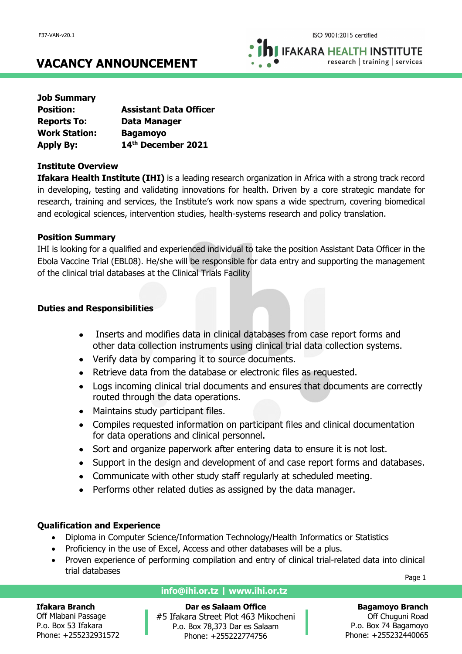**IFAKARA HEALTH INSTITUTE** research | training | services

# **VACANCY ANNOUNCEMENT**

| <b>Job Summary</b>   |                               |
|----------------------|-------------------------------|
| <b>Position:</b>     | <b>Assistant Data Officer</b> |
| <b>Reports To:</b>   | Data Manager                  |
| <b>Work Station:</b> | <b>Bagamoyo</b>               |
| <b>Apply By:</b>     | 14th December 2021            |

# **Institute Overview**

**Ifakara Health Institute (IHI)** is a leading research organization in Africa with a strong track record in developing, testing and validating innovations for health. Driven by a core strategic mandate for research, training and services, the Institute's work now spans a wide spectrum, covering biomedical and ecological sciences, intervention studies, health-systems research and policy translation.

# **Position Summary**

IHI is looking for a qualified and experienced individual to take the position Assistant Data Officer in the Ebola Vaccine Trial (EBL08). He/she will be responsible for data entry and supporting the management of the clinical trial databases at the Clinical Trials Facility

# **Duties and Responsibilities**

- Inserts and modifies data in clinical databases from case report forms and other data collection instruments using clinical trial data collection systems.
- Verify data by comparing it to source documents.
- Retrieve data from the database or electronic files as requested.
- Logs incoming clinical trial documents and ensures that documents are correctly routed through the data operations.
- Maintains study participant files.
- Compiles requested information on participant files and clinical documentation for data operations and clinical personnel.
- Sort and organize paperwork after entering data to ensure it is not lost.
- Support in the design and development of and case report forms and databases.
- Communicate with other study staff regularly at scheduled meeting.
- Performs other related duties as assigned by the data manager.

# **Qualification and Experience**

- Diploma in Computer Science/Information Technology/Health Informatics or Statistics
- Proficiency in the use of Excel, Access and other databases will be a plus.
- Proven experience of performing compilation and entry of clinical trial-related data into clinical trial databases

Page 1

#### **Ifakara Branch**

Off Mlabani Passage P.o. Box 53 Ifakara Phone: +255232931572

# **info@ihi.or.tz | www.ihi.or.tz**

**Dar es Salaam Office** #5 Ifakara Street Plot 463 Mikocheni P.o. Box 78,373 Dar es Salaam Phone: +255222774756

# **Bagamoyo Branch**

Off Chuguni Road P.o. Box 74 Bagamoyo Phone: +255232440065